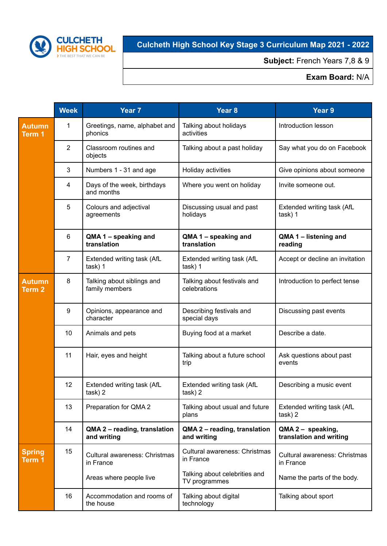

## **Culcheth High School Key Stage 3 Curriculum Map 2021 - 2022**

**Subject:** French Years 7,8 & 9

## **Exam Board:** N/A

|                                    | <b>Week</b>    | Year 7                                       | Year 8                                         | Year 9                                       |
|------------------------------------|----------------|----------------------------------------------|------------------------------------------------|----------------------------------------------|
| <b>Autumn</b><br>Term <sub>1</sub> | 1              | Greetings, name, alphabet and<br>phonics     | Talking about holidays<br>activities           | Introduction lesson                          |
|                                    | $\overline{2}$ | Classroom routines and<br>objects            | Talking about a past holiday                   | Say what you do on Facebook                  |
|                                    | 3              | Numbers 1 - 31 and age                       | Holiday activities                             | Give opinions about someone                  |
|                                    | 4              | Days of the week, birthdays<br>and months    | Where you went on holiday                      | Invite someone out.                          |
|                                    | 5              | Colours and adjectival<br>agreements         | Discussing usual and past<br>holidays          | Extended writing task (AfL<br>task) 1        |
|                                    | 6              | QMA 1 - speaking and<br>translation          | QMA 1 - speaking and<br>translation            | QMA 1 - listening and<br>reading             |
|                                    | 7              | Extended writing task (AfL<br>task) 1        | Extended writing task (AfL<br>task) 1          | Accept or decline an invitation              |
| <b>Autumn</b><br><b>Term 2</b>     | 8              | Talking about siblings and<br>family members | Talking about festivals and<br>celebrations    | Introduction to perfect tense                |
|                                    | 9              | Opinions, appearance and<br>character        | Describing festivals and<br>special days       | Discussing past events                       |
|                                    | 10             | Animals and pets                             | Buying food at a market                        | Describe a date.                             |
|                                    | 11             | Hair, eyes and height                        | Talking about a future school<br>trip          | Ask questions about past<br>events           |
|                                    | 12             | Extended writing task (AfL<br>task) 2        | Extended writing task (AfL<br>task) 2          | Describing a music event                     |
|                                    | 13             | Preparation for QMA 2                        | Talking about usual and future<br>plans        | Extended writing task (AfL<br>task) 2        |
|                                    | 14             | QMA 2 - reading, translation<br>and writing  | QMA 2 - reading, translation<br>and writing    | QMA 2 - speaking,<br>translation and writing |
| <b>Spring</b><br>Term 1            | 15             | Cultural awareness: Christmas<br>in France   | Cultural awareness: Christmas<br>in France     | Cultural awareness: Christmas<br>in France   |
|                                    |                | Areas where people live                      | Talking about celebrities and<br>TV programmes | Name the parts of the body.                  |
|                                    | 16             | Accommodation and rooms of<br>the house      | Talking about digital<br>technology            | Talking about sport                          |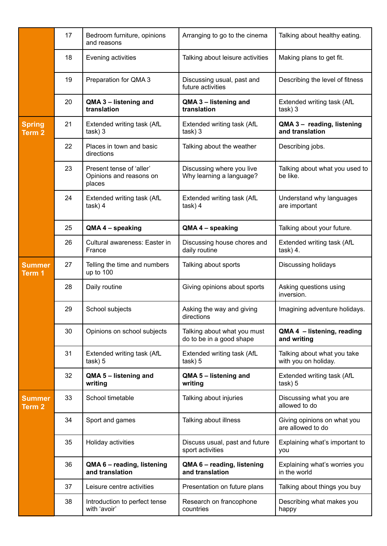|                                    | 17 | Bedroom furniture, opinions<br>and reasons                    | Arranging to go to the cinema                           | Talking about healthy eating.                       |
|------------------------------------|----|---------------------------------------------------------------|---------------------------------------------------------|-----------------------------------------------------|
|                                    | 18 | Evening activities                                            | Talking about leisure activities                        | Making plans to get fit.                            |
|                                    | 19 | Preparation for QMA 3                                         | Discussing usual, past and<br>future activities         | Describing the level of fitness                     |
|                                    | 20 | QMA 3 - listening and<br>translation                          | QMA 3 - listening and<br>translation                    | Extended writing task (AfL<br>task) 3               |
| <b>Spring</b><br>Term <sub>2</sub> | 21 | Extended writing task (AfL<br>task) 3                         | Extended writing task (AfL<br>task) 3                   | QMA 3 - reading, listening<br>and translation       |
|                                    | 22 | Places in town and basic<br>directions                        | Talking about the weather                               | Describing jobs.                                    |
|                                    | 23 | Present tense of 'aller'<br>Opinions and reasons on<br>places | Discussing where you live<br>Why learning a language?   | Talking about what you used to<br>be like.          |
|                                    | 24 | Extended writing task (AfL<br>task) 4                         | Extended writing task (AfL<br>task) 4                   | Understand why languages<br>are important           |
|                                    | 25 | QMA 4 - speaking                                              | QMA 4 - speaking                                        | Talking about your future.                          |
|                                    | 26 | Cultural awareness: Easter in<br>France                       | Discussing house chores and<br>daily routine            | Extended writing task (AfL<br>task) 4.              |
| <b>Summer</b><br>Term <sub>1</sub> | 27 | Telling the time and numbers<br>up to 100                     | Talking about sports                                    | Discussing holidays                                 |
|                                    | 28 | Daily routine                                                 | Giving opinions about sports                            | Asking questions using<br>inversion.                |
|                                    | 29 | School subjects                                               | Asking the way and giving<br>directions                 | Imagining adventure holidays.                       |
|                                    | 30 | Opinions on school subjects                                   | Talking about what you must<br>do to be in a good shape | QMA 4 - listening, reading<br>and writing           |
|                                    | 31 | Extended writing task (AfL<br>task) 5                         | Extended writing task (AfL<br>task) 5                   | Talking about what you take<br>with you on holiday. |
|                                    | 32 | QMA 5 - listening and<br>writing                              | QMA 5 - listening and<br>writing                        | Extended writing task (AfL<br>task) 5               |
| <b>Summer</b><br>Term <sub>2</sub> | 33 | School timetable                                              | Talking about injuries                                  | Discussing what you are<br>allowed to do            |
|                                    | 34 | Sport and games                                               | Talking about illness                                   | Giving opinions on what you<br>are allowed to do    |
|                                    | 35 | Holiday activities                                            | Discuss usual, past and future<br>sport activities      | Explaining what's important to<br>you               |
|                                    | 36 | QMA 6 - reading, listening<br>and translation                 | QMA 6 - reading, listening<br>and translation           | Explaining what's worries you<br>in the world       |
|                                    | 37 | Leisure centre activities                                     | Presentation on future plans                            | Talking about things you buy                        |
|                                    | 38 | Introduction to perfect tense<br>with 'avoir'                 | Research on francophone<br>countries                    | Describing what makes you<br>happy                  |